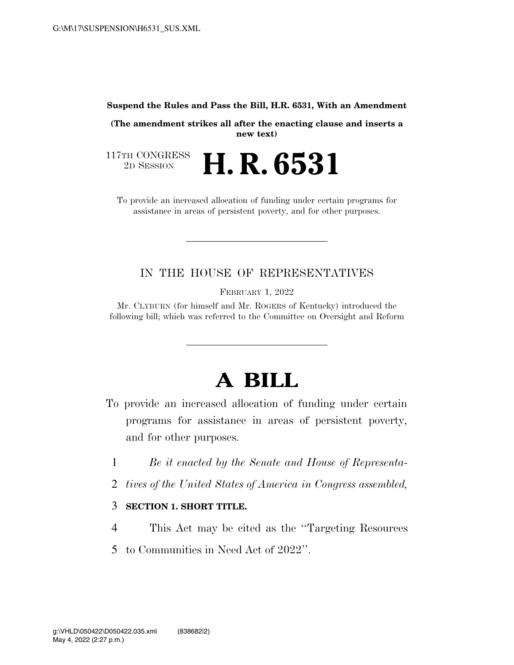## **Suspend the Rules and Pass the Bill, H.R. 6531, With an Amendment**

**(The amendment strikes all after the enacting clause and inserts a new text)** 

117TH CONGRESS<br>2D SESSION 2D SESSION **H. R. 6531** 

To provide an increased allocation of funding under certain programs for assistance in areas of persistent poverty, and for other purposes.

## IN THE HOUSE OF REPRESENTATIVES

FEBRUARY 1, 2022

Mr. CLYBURN (for himself and Mr. ROGERS of Kentucky) introduced the following bill; which was referred to the Committee on Oversight and Reform

## **A BILL**

- To provide an increased allocation of funding under certain programs for assistance in areas of persistent poverty, and for other purposes.
	- 1 *Be it enacted by the Senate and House of Representa-*
	- 2 *tives of the United States of America in Congress assembled,*

## 3 **SECTION 1. SHORT TITLE.**

- 4 This Act may be cited as the ''Targeting Resources
- 5 to Communities in Need Act of 2022''.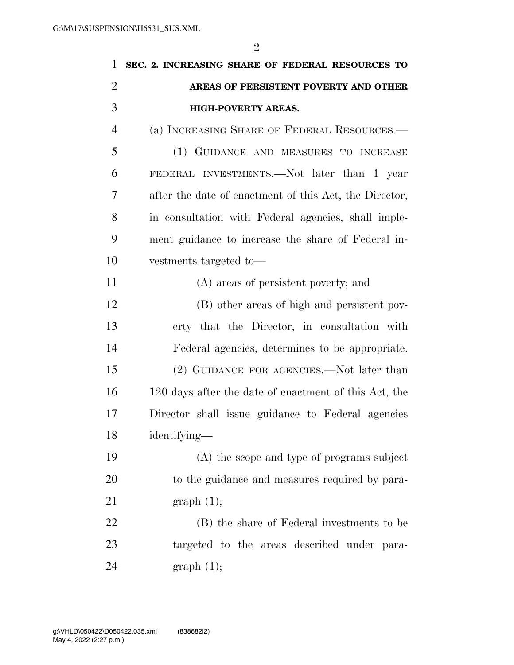| 1              | SEC. 2. INCREASING SHARE OF FEDERAL RESOURCES TO       |
|----------------|--------------------------------------------------------|
| $\overline{2}$ | AREAS OF PERSISTENT POVERTY AND OTHER                  |
| 3              | <b>HIGH-POVERTY AREAS.</b>                             |
| $\overline{4}$ | (a) INCREASING SHARE OF FEDERAL RESOURCES.—            |
| 5              | (1) GUIDANCE AND MEASURES TO INCREASE                  |
| 6              | FEDERAL INVESTMENTS.—Not later than 1 year             |
| 7              | after the date of enactment of this Act, the Director, |
| 8              | in consultation with Federal agencies, shall imple-    |
| 9              | ment guidance to increase the share of Federal in-     |
| 10             | vestments targeted to-                                 |
| 11             | (A) areas of persistent poverty; and                   |
| 12             | (B) other areas of high and persistent pov-            |
| 13             | erty that the Director, in consultation with           |
| 14             | Federal agencies, determines to be appropriate.        |
| 15             | (2) GUIDANCE FOR AGENCIES.—Not later than              |
| 16             | 120 days after the date of enactment of this Act, the  |
| 17             | Director shall issue guidance to Federal agencies      |
| 18             | identifying-                                           |
| 19             | (A) the scope and type of programs subject             |
| 20             | to the guidance and measures required by para-         |
| 21             | graph(1);                                              |
| 22             | (B) the share of Federal investments to be             |
| 23             | targeted to the areas described under para-            |
| 24             | graph(1);                                              |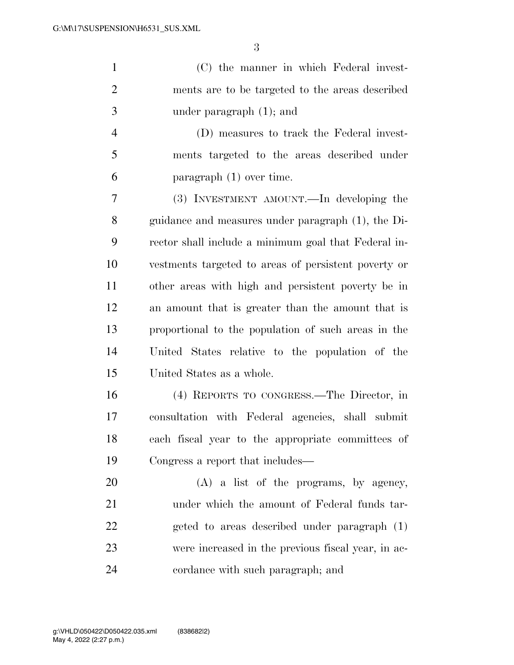(C) the manner in which Federal invest- ments are to be targeted to the areas described under paragraph (1); and

 (D) measures to track the Federal invest- ments targeted to the areas described under paragraph (1) over time.

 (3) INVESTMENT AMOUNT.—In developing the guidance and measures under paragraph (1), the Di- rector shall include a minimum goal that Federal in- vestments targeted to areas of persistent poverty or other areas with high and persistent poverty be in an amount that is greater than the amount that is proportional to the population of such areas in the United States relative to the population of the United States as a whole.

 (4) REPORTS TO CONGRESS.—The Director, in consultation with Federal agencies, shall submit each fiscal year to the appropriate committees of Congress a report that includes—

 (A) a list of the programs, by agency, under which the amount of Federal funds tar- geted to areas described under paragraph (1) were increased in the previous fiscal year, in ac-cordance with such paragraph; and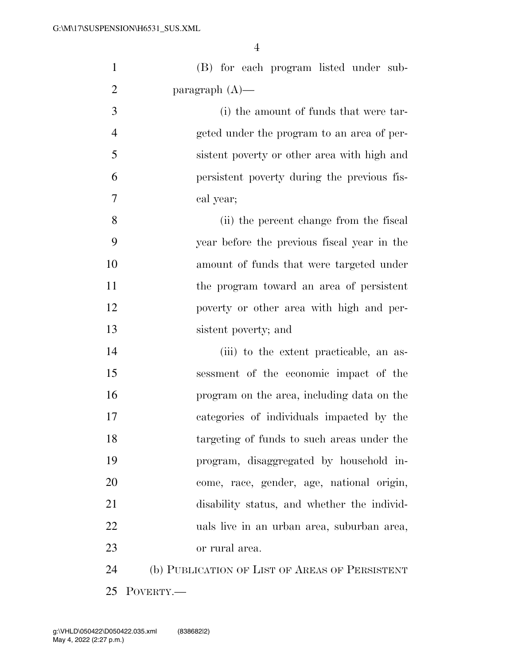| $\mathbf{1}$   | (B) for each program listed under sub-         |
|----------------|------------------------------------------------|
| $\overline{2}$ | paragraph $(A)$ —                              |
| 3              | (i) the amount of funds that were tar-         |
| $\overline{4}$ | geted under the program to an area of per-     |
| 5              | sistent poverty or other area with high and    |
| 6              | persistent poverty during the previous fis-    |
| 7              | cal year;                                      |
| 8              | (ii) the percent change from the fiscal        |
| 9              | year before the previous fiscal year in the    |
| 10             | amount of funds that were targeted under       |
| 11             | the program toward an area of persistent       |
| 12             | poverty or other area with high and per-       |
| 13             | sistent poverty; and                           |
| 14             | (iii) to the extent practicable, an as-        |
| 15             | sessment of the economic impact of the         |
| 16             | program on the area, including data on the     |
| 17             | categories of individuals impacted by the      |
| 18             | targeting of funds to such areas under the     |
| 19             | program, disaggregated by household in-        |
| 20             | come, race, gender, age, national origin,      |
| 21             | disability status, and whether the individ-    |
| 22             | uals live in an urban area, suburban area,     |
| 23             | or rural area.                                 |
| 24             | (b) PUBLICATION OF LIST OF AREAS OF PERSISTENT |
|                | 25 POVERTY.-                                   |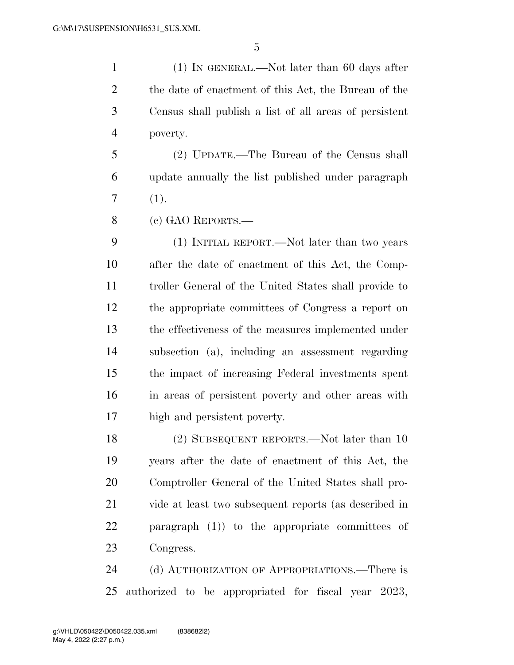(1) IN GENERAL.—Not later than 60 days after the date of enactment of this Act, the Bureau of the Census shall publish a list of all areas of persistent poverty.

 (2) UPDATE.—The Bureau of the Census shall update annually the list published under paragraph  $7(1).$ 

(c) GAO REPORTS.—

 (1) INITIAL REPORT.—Not later than two years after the date of enactment of this Act, the Comp- troller General of the United States shall provide to the appropriate committees of Congress a report on the effectiveness of the measures implemented under subsection (a), including an assessment regarding the impact of increasing Federal investments spent in areas of persistent poverty and other areas with high and persistent poverty.

 (2) SUBSEQUENT REPORTS.—Not later than 10 years after the date of enactment of this Act, the Comptroller General of the United States shall pro- vide at least two subsequent reports (as described in paragraph (1)) to the appropriate committees of Congress.

 (d) AUTHORIZATION OF APPROPRIATIONS.—There is authorized to be appropriated for fiscal year 2023,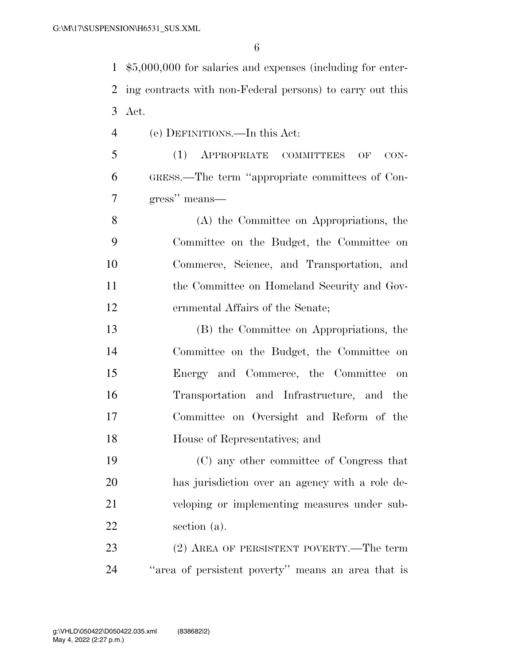\$5,000,000 for salaries and expenses (including for enter- ing contracts with non-Federal persons) to carry out this Act.

- (e) DEFINITIONS.—In this Act:
- (1) APPROPRIATE COMMITTEES OF CON- GRESS.—The term ''appropriate committees of Con-gress'' means—

 (A) the Committee on Appropriations, the Committee on the Budget, the Committee on Commerce, Science, and Transportation, and the Committee on Homeland Security and Gov-ernmental Affairs of the Senate;

 (B) the Committee on Appropriations, the Committee on the Budget, the Committee on Energy and Commerce, the Committee on Transportation and Infrastructure, and the Committee on Oversight and Reform of the House of Representatives; and

 (C) any other committee of Congress that has jurisdiction over an agency with a role de- veloping or implementing measures under sub-section (a).

23 (2) AREA OF PERSISTENT POVERTY.—The term ''area of persistent poverty'' means an area that is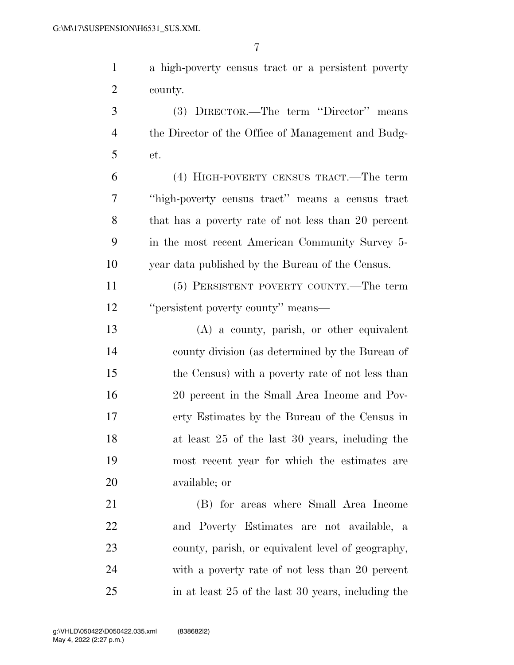a high-poverty census tract or a persistent poverty county.

 (3) DIRECTOR.—The term ''Director'' means the Director of the Office of Management and Budg-et.

 (4) HIGH-POVERTY CENSUS TRACT.—The term ''high-poverty census tract'' means a census tract that has a poverty rate of not less than 20 percent in the most recent American Community Survey 5- year data published by the Bureau of the Census.

 (5) PERSISTENT POVERTY COUNTY.—The term ''persistent poverty county'' means—

 (A) a county, parish, or other equivalent county division (as determined by the Bureau of the Census) with a poverty rate of not less than 20 percent in the Small Area Income and Pov- erty Estimates by the Bureau of the Census in at least 25 of the last 30 years, including the most recent year for which the estimates are available; or

 (B) for areas where Small Area Income and Poverty Estimates are not available, a county, parish, or equivalent level of geography, with a poverty rate of not less than 20 percent in at least 25 of the last 30 years, including the